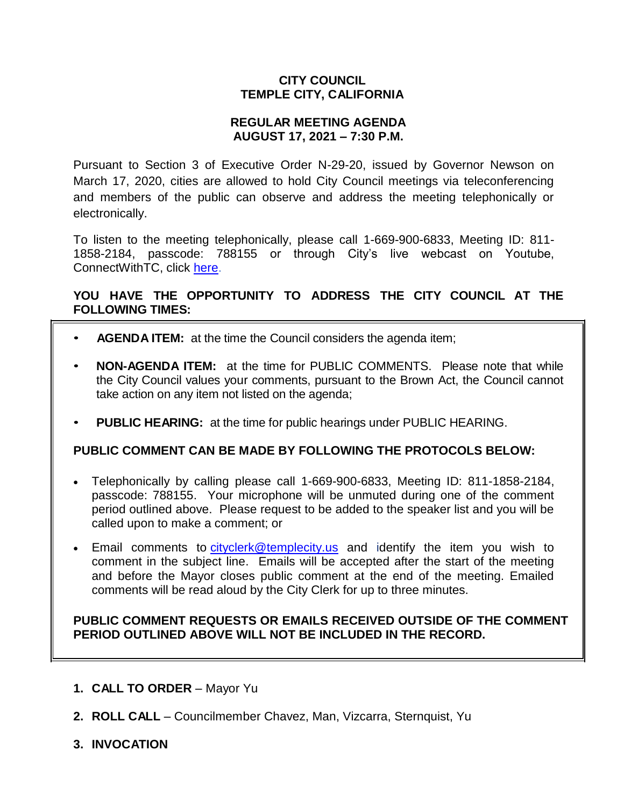## **CITY COUNCIL TEMPLE CITY, CALIFORNIA**

## **REGULAR MEETING AGENDA AUGUST 17, 2021 – 7:30 P.M.**

Pursuant to Section 3 of Executive Order N-29-20, issued by Governor Newson on March 17, 2020, cities are allowed to hold City Council meetings via teleconferencing and members of the public can observe and address the meeting telephonically or electronically.

To listen to the meeting telephonically, please call 1-669-900-6833, Meeting ID: 811- 1858-2184, passcode: 788155 or through City's live webcast on Youtube, ConnectWithTC, click [here.](https://www.ci.temple-city.ca.us/516/Meeting-Webcast)

## **YOU HAVE THE OPPORTUNITY TO ADDRESS THE CITY COUNCIL AT THE FOLLOWING TIMES:**

- **AGENDA ITEM:** at the time the Council considers the agenda item;
- **NON-AGENDA ITEM:** at the time for PUBLIC COMMENTS. Please note that while the City Council values your comments, pursuant to the Brown Act, the Council cannot take action on any item not listed on the agenda;
- **PUBLIC HEARING:** at the time for public hearings under PUBLIC HEARING.

## **PUBLIC COMMENT CAN BE MADE BY FOLLOWING THE PROTOCOLS BELOW:**

- Telephonically by calling please call 1-669-900-6833, Meeting ID: 811-1858-2184, passcode: 788155. Your microphone will be unmuted during one of the comment period outlined above. Please request to be added to the speaker list and you will be called upon to make a comment; or
- Email comments to [cityclerk@templecity.us](mailto:cityclerk@templecity.us) and identify the item you wish to comment in the subject line. Emails will be accepted after the start of the meeting and before the Mayor closes public comment at the end of the meeting. Emailed comments will be read aloud by the City Clerk for up to three minutes.

## **PUBLIC COMMENT REQUESTS OR EMAILS RECEIVED OUTSIDE OF THE COMMENT PERIOD OUTLINED ABOVE WILL NOT BE INCLUDED IN THE RECORD.**

- **1. CALL TO ORDER**  Mayor Yu
- **2. ROLL CALL**  Councilmember Chavez, Man, Vizcarra, Sternquist, Yu
- **3. INVOCATION**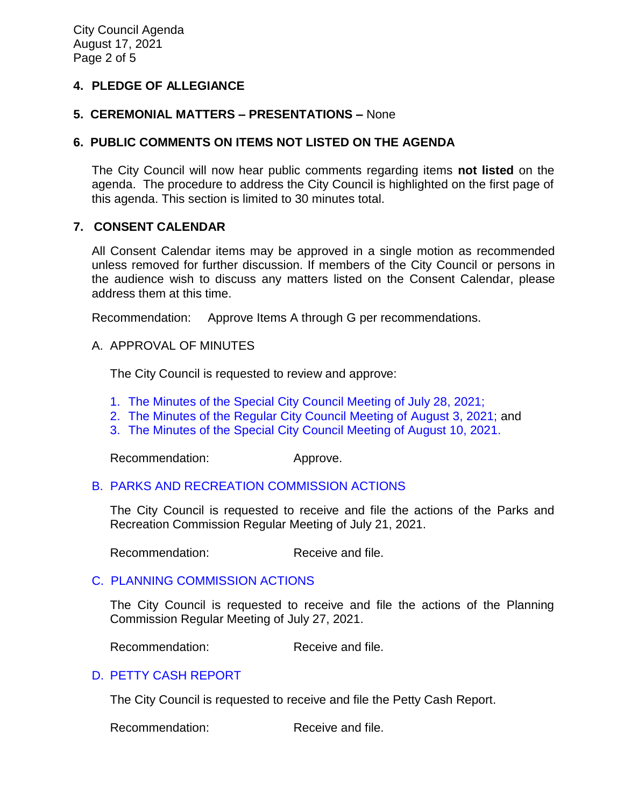## **4. PLEDGE OF ALLEGIANCE**

#### **5. CEREMONIAL MATTERS – PRESENTATIONS –** None

#### **6. PUBLIC COMMENTS ON ITEMS NOT LISTED ON THE AGENDA**

The City Council will now hear public comments regarding items **not listed** on the agenda. The procedure to address the City Council is highlighted on the first page of this agenda. This section is limited to 30 minutes total.

#### **7. CONSENT CALENDAR**

All Consent Calendar items may be approved in a single motion as recommended unless removed for further discussion. If members of the City Council or persons in the audience wish to discuss any matters listed on the Consent Calendar, please address them at this time.

Recommendation: Approve Items A through G per recommendations.

#### A. APPROVAL OF MINUTES

The City Council is requested to review and approve:

- 1. [The Minutes of the Special City Council Meeting of July 28, 2021;](https://www.ci.temple-city.ca.us/DocumentCenter/View/16630/7A-1_CCM---2021-07-28-Sheriffs-Monthly)
- 2. [The Minutes of the Regular City Council Meeting of August 3, 2021;](https://www.ci.temple-city.ca.us/DocumentCenter/View/16621/7A-2_CCM---2021-08-03-Regular) and
- 3. [The Minutes of the Special City Council Meeting of August 10, 2021.](https://www.ci.temple-city.ca.us/DocumentCenter/View/16622/7A-3_CCM---2021-08-10-Special)

Recommendation: Approve.

## [B. PARKS AND RECREATION](https://www.ci.temple-city.ca.us/DocumentCenter/View/16623/7B_PRC-Actions-2021-7-21-FInal) COMMISSION ACTIONS

The City Council is requested to receive and file the actions of the Parks and Recreation Commission Regular Meeting of July 21, 2021.

Recommendation: Receive and file.

## [C. PLANNING COMMISSION ACTIONS](https://www.ci.temple-city.ca.us/DocumentCenter/View/16624/7C_PC-Actions----2021-07-27)

The City Council is requested to receive and file the actions of the Planning Commission Regular Meeting of July 27, 2021.

Recommendation: Receive and file.

## D. [PETTY CASH](https://www.ci.temple-city.ca.us/DocumentCenter/View/16626/7D_Petty-Cash-Report-PandR) REPORT

The City Council is requested to receive and file the Petty Cash Report.

Recommendation: Receive and file.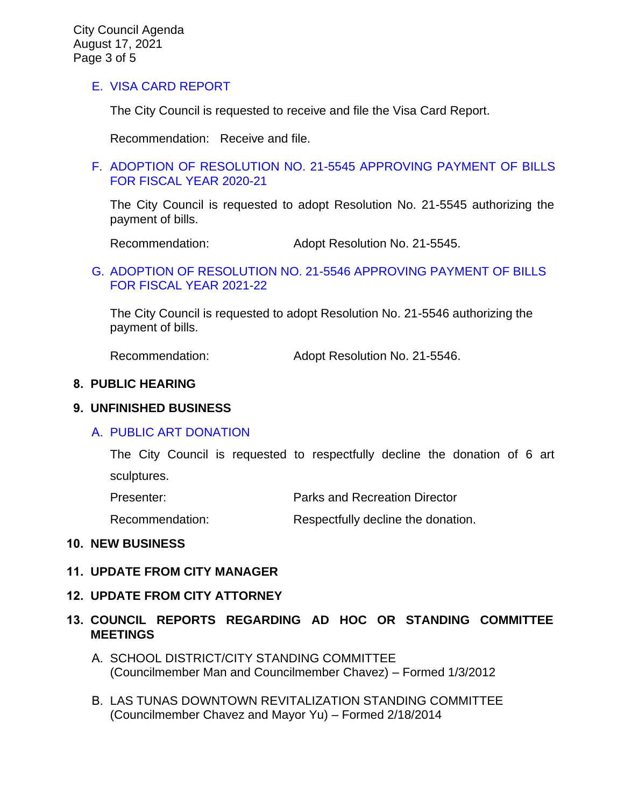## [E. VISA CARD REPORT](https://www.ci.temple-city.ca.us/DocumentCenter/View/16627/7E_Visa-Card-Report-8-17-21)

The City Council is requested to receive and file the Visa Card Report.

Recommendation: Receive and file.

#### [F. ADOPTION OF RESOLUTION NO. 21-5545 APPROVING PAYMENT OF BILLS](https://www.ci.temple-city.ca.us/DocumentCenter/View/16628/7F_Reso-No-21-5545-081721---Warrants--Demands-FY-2020-2021) [FOR FISCAL YEAR 2020-21](https://www.ci.temple-city.ca.us/DocumentCenter/View/16628/7F_Reso-No-21-5545-081721---Warrants--Demands-FY-2020-2021)

The City Council is requested to adopt Resolution No. 21-5545 authorizing the payment of bills.

Recommendation: Adopt Resolution No. 21-5545.

#### G. [ADOPTION OF RESOLUTION NO. 21-5546 APPROVING PAYMENT OF BILLS](https://www.ci.temple-city.ca.us/DocumentCenter/View/16629/7G_Reso-No-21-5546-081721---Warrants--Demands-FY-2021-2022) [FOR FISCAL YEAR 2021-22](https://www.ci.temple-city.ca.us/DocumentCenter/View/16629/7G_Reso-No-21-5546-081721---Warrants--Demands-FY-2021-2022)

The City Council is requested to adopt Resolution No. 21-5546 authorizing the payment of bills.

Recommendation: Adopt Resolution No. 21-5546.

#### **8. PUBLIC HEARING**

#### **9. UNFINISHED BUSINESS**

## A. [PUBLIC ART DONATION](https://www.ci.temple-city.ca.us/DocumentCenter/View/16625/9A_Public-Art-Donation_Staff-Report)

The City Council is requested to respectfully decline the donation of 6 art sculptures.

| Presenter: | <b>Parks and Recreation Director</b> |
|------------|--------------------------------------|
|            |                                      |

Recommendation: Respectfully decline the donation.

#### **10. NEW BUSINESS**

## **11. UPDATE FROM CITY MANAGER**

#### **12. UPDATE FROM CITY ATTORNEY**

## **13. COUNCIL REPORTS REGARDING AD HOC OR STANDING COMMITTEE MEETINGS**

- A. SCHOOL DISTRICT/CITY STANDING COMMITTEE (Councilmember Man and Councilmember Chavez) – Formed 1/3/2012
- B. LAS TUNAS DOWNTOWN REVITALIZATION STANDING COMMITTEE (Councilmember Chavez and Mayor Yu) – Formed 2/18/2014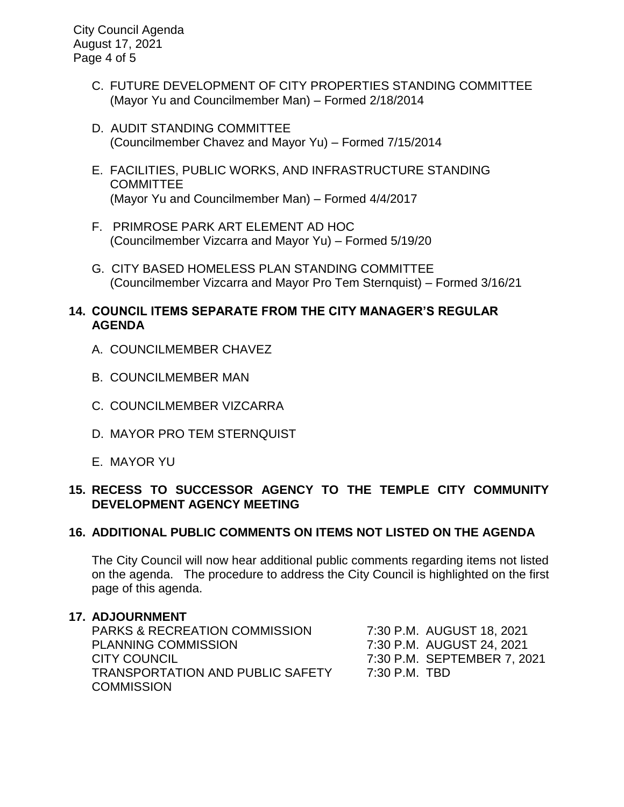City Council Agenda August 17, 2021 Page 4 of 5

- C. FUTURE DEVELOPMENT OF CITY PROPERTIES STANDING COMMITTEE (Mayor Yu and Councilmember Man) – Formed 2/18/2014
- D. AUDIT STANDING COMMITTEE (Councilmember Chavez and Mayor Yu) – Formed 7/15/2014
- E. FACILITIES, PUBLIC WORKS, AND INFRASTRUCTURE STANDING **COMMITTEE** (Mayor Yu and Councilmember Man) – Formed 4/4/2017
- F. PRIMROSE PARK ART ELEMENT AD HOC (Councilmember Vizcarra and Mayor Yu) – Formed 5/19/20
- G. CITY BASED HOMELESS PLAN STANDING COMMITTEE (Councilmember Vizcarra and Mayor Pro Tem Sternquist) – Formed 3/16/21

## **14. COUNCIL ITEMS SEPARATE FROM THE CITY MANAGER'S REGULAR AGENDA**

- A. COUNCILMEMBER CHAVEZ
- B. COUNCILMEMBER MAN
- C. COUNCILMEMBER VIZCARRA
- D. MAYOR PRO TEM STERNQUIST
- E. MAYOR YU

## **15. RECESS TO SUCCESSOR AGENCY TO THE TEMPLE CITY COMMUNITY DEVELOPMENT AGENCY MEETING**

# **16. ADDITIONAL PUBLIC COMMENTS ON ITEMS NOT LISTED ON THE AGENDA**

The City Council will now hear additional public comments regarding items not listed on the agenda. The procedure to address the City Council is highlighted on the first page of this agenda.

## **17. ADJOURNMENT**

PARKS & RECREATION COMMISSION 7:30 P.M. AUGUST 18, 2021 PLANNING COMMISSION 7:30 P.M. AUGUST 24, 2021 CITY COUNCIL 7:30 P.M. SEPTEMBER 7, 2021 TRANSPORTATION AND PUBLIC SAFETY 7:30 P.M. TBD **COMMISSION**